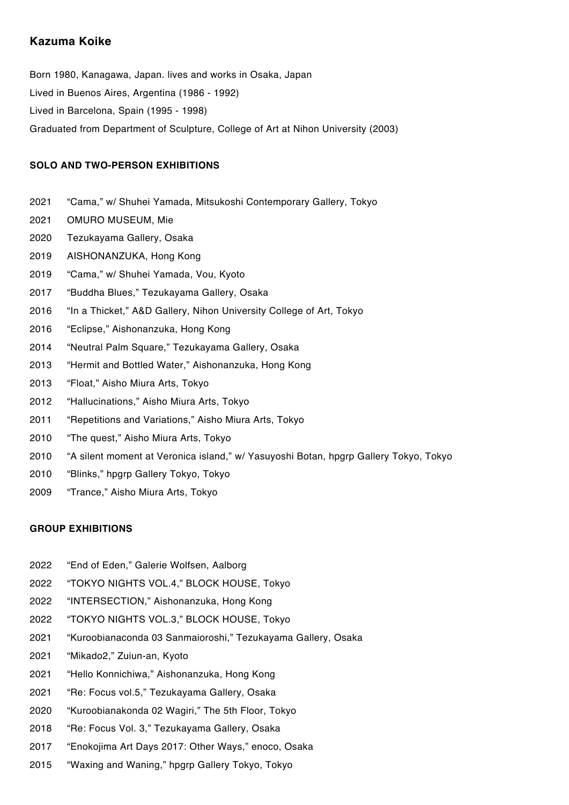## **Kazuma Koike**

Born 1980, Kanagawa, Japan. lives and works in Osaka, Japan Lived in Buenos Aires, Argentina (1986 - 1992) Lived in Barcelona, Spain (1995 - 1998) Graduated from Department of Sculpture, College of Art at Nihon University (2003)

## **SOLO AND TWO-PERSON EXHIBITIONS**

- 2021 "Cama," w/ Shuhei Yamada, Mitsukoshi Contemporary Gallery, Tokyo
- 2021 OMURO MUSEUM, Mie
- 2020 Tezukayama Gallery, Osaka
- 2019 AISHONANZUKA, Hong Kong
- 2019 "Cama," w/ Shuhei Yamada, Vou, Kyoto
- 2017 "Buddha Blues," Tezukayama Gallery, Osaka
- 2016 "In a Thicket," A&D Gallery, Nihon University College of Art, Tokyo
- 2016 "Eclipse," Aishonanzuka, Hong Kong
- 2014 "Neutral Palm Square," Tezukayama Gallery, Osaka
- 2013 "Hermit and Bottled Water," Aishonanzuka, Hong Kong
- 2013 "Float," Aisho Miura Arts, Tokyo
- 2012 "Hallucinations," Aisho Miura Arts, Tokyo
- 2011 "Repetitions and Variations," Aisho Miura Arts, Tokyo
- 2010 "The quest," Aisho Miura Arts, Tokyo
- 2010 "A silent moment at Veronica island," w/ Yasuyoshi Botan, hpgrp Gallery Tokyo, Tokyo
- 2010 "Blinks," hpgrp Gallery Tokyo, Tokyo
- 2009 "Trance," Aisho Miura Arts, Tokyo

## **GROUP EXHIBITIONS**

- 2022 "End of Eden," Galerie Wolfsen, Aalborg
- 2022 "TOKYO NIGHTS VOL.4," BLOCK HOUSE, Tokyo
- 2022 "INTERSECTION," Aishonanzuka, Hong Kong
- 2022 "TOKYO NIGHTS VOL.3," BLOCK HOUSE, Tokyo
- 2021 "Kuroobianaconda 03 Sanmaioroshi," Tezukayama Gallery, Osaka
- 2021 "Mikado2," Zuiun-an, Kyoto
- 2021 "Hello Konnichiwa," Aishonanzuka, Hong Kong
- 2021 "Re: Focus vol.5," Tezukayama Gallery, Osaka
- 2020 "Kuroobianakonda 02 Wagiri," The 5th Floor, Tokyo
- 2018 "Re: Focus Vol. 3," Tezukayama Gallery, Osaka
- 2017 "Enokojima Art Days 2017: Other Ways," enoco, Osaka
- 2015 "Waxing and Waning," hpgrp Gallery Tokyo, Tokyo